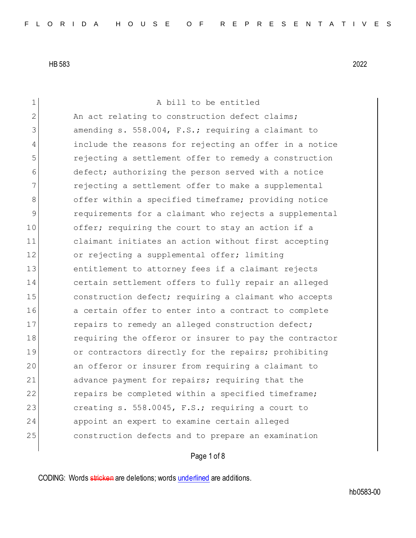1 A bill to be entitled 2 An act relating to construction defect claims; 3 amending s. 558.004, F.S.; requiring a claimant to 4 include the reasons for rejecting an offer in a notice 5 rejecting a settlement offer to remedy a construction 6 defect; authorizing the person served with a notice 7 **rejecting a settlement offer to make a supplemental** 8 offer within a specified timeframe; providing notice 9 requirements for a claimant who rejects a supplemental 10 offer; requiring the court to stay an action if a 11 claimant initiates an action without first accepting 12 or rejecting a supplemental offer; limiting 13 entitlement to attorney fees if a claimant rejects 14 certain settlement offers to fully repair an alleged 15 construction defect; requiring a claimant who accepts 16 a certain offer to enter into a contract to complete 17 repairs to remedy an alleged construction defect; 18 requiring the offeror or insurer to pay the contractor 19 or contractors directly for the repairs; prohibiting 20 an offeror or insurer from requiring a claimant to 21 advance payment for repairs; requiring that the 22 repairs be completed within a specified timeframe; 23 creating s. 558.0045, F.S.; requiring a court to 24 appoint an expert to examine certain alleged 25 construction defects and to prepare an examination

## Page 1 of 8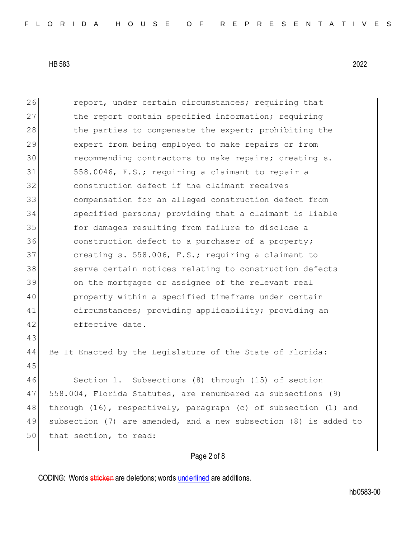26 report, under certain circumstances; requiring that 27 the report contain specified information; requiring 28 the parties to compensate the expert; prohibiting the 29 expert from being employed to make repairs or from 30 recommending contractors to make repairs; creating s. 31 558.0046, F.S.; requiring a claimant to repair a 32 construction defect if the claimant receives 33 compensation for an alleged construction defect from 34 specified persons; providing that a claimant is liable 35 for damages resulting from failure to disclose a 36 **construction defect to a purchaser of a property;** 37 creating s. 558.006, F.S.; requiring a claimant to 38 serve certain notices relating to construction defects 39 on the mortgagee or assignee of the relevant real 40 property within a specified timeframe under certain 41 circumstances; providing applicability; providing an 42 effective date. 43 44 Be It Enacted by the Legislature of the State of Florida: 45 46 Section 1. Subsections (8) through (15) of section 47 558.004, Florida Statutes, are renumbered as subsections (9) 48 through (16), respectively, paragraph (c) of subsection (1) and 49 subsection (7) are amended, and a new subsection (8) is added to 50 that section, to read:

## Page 2 of 8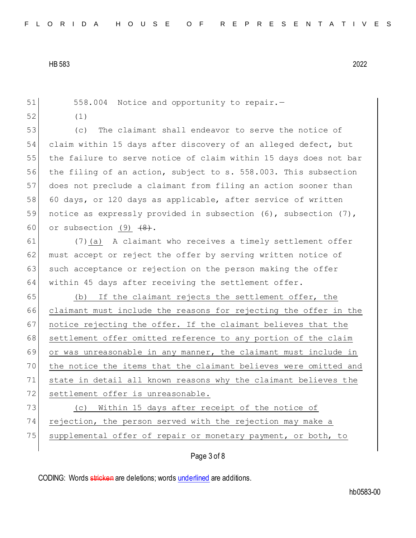| 51 | 558.004 Notice and opportunity to repair.-                       |  |  |  |  |  |  |  |  |
|----|------------------------------------------------------------------|--|--|--|--|--|--|--|--|
| 52 | (1)                                                              |  |  |  |  |  |  |  |  |
| 53 | The claimant shall endeavor to serve the notice of<br>(C)        |  |  |  |  |  |  |  |  |
| 54 | claim within 15 days after discovery of an alleged defect, but   |  |  |  |  |  |  |  |  |
| 55 | the failure to serve notice of claim within 15 days does not bar |  |  |  |  |  |  |  |  |
| 56 | the filing of an action, subject to s. 558.003. This subsection  |  |  |  |  |  |  |  |  |
| 57 | does not preclude a claimant from filing an action sooner than   |  |  |  |  |  |  |  |  |
| 58 | 60 days, or 120 days as applicable, after service of written     |  |  |  |  |  |  |  |  |
| 59 | notice as expressly provided in subsection (6), subsection (7),  |  |  |  |  |  |  |  |  |
| 60 | or subsection $(9)$ $(8)$ .                                      |  |  |  |  |  |  |  |  |
| 61 | (7) (a) A claimant who receives a timely settlement offer        |  |  |  |  |  |  |  |  |
| 62 | must accept or reject the offer by serving written notice of     |  |  |  |  |  |  |  |  |
| 63 | such acceptance or rejection on the person making the offer      |  |  |  |  |  |  |  |  |
| 64 | within 45 days after receiving the settlement offer.             |  |  |  |  |  |  |  |  |
| 65 | If the claimant rejects the settlement offer, the<br>(b)         |  |  |  |  |  |  |  |  |
| 66 | claimant must include the reasons for rejecting the offer in the |  |  |  |  |  |  |  |  |
| 67 | notice rejecting the offer. If the claimant believes that the    |  |  |  |  |  |  |  |  |
| 68 | settlement offer omitted reference to any portion of the claim   |  |  |  |  |  |  |  |  |
| 69 | or was unreasonable in any manner, the claimant must include in  |  |  |  |  |  |  |  |  |
| 70 | the notice the items that the claimant believes were omitted and |  |  |  |  |  |  |  |  |
| 71 | state in detail all known reasons why the claimant believes the  |  |  |  |  |  |  |  |  |
| 72 | settlement offer is unreasonable.                                |  |  |  |  |  |  |  |  |
| 73 | Within 15 days after receipt of the notice of<br>(C)             |  |  |  |  |  |  |  |  |
| 74 | rejection, the person served with the rejection may make a       |  |  |  |  |  |  |  |  |
| 75 | supplemental offer of repair or monetary payment, or both, to    |  |  |  |  |  |  |  |  |
|    | Page 3 of 8                                                      |  |  |  |  |  |  |  |  |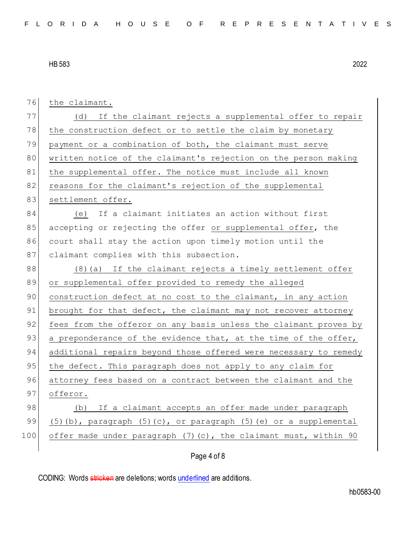76 the claimant. 77 (d) If the claimant rejects a supplemental offer to repair 78 the construction defect or to settle the claim by monetary 79 payment or a combination of both, the claimant must serve 80 written notice of the claimant's rejection on the person making 81 the supplemental offer. The notice must include all known 82 reasons for the claimant's rejection of the supplemental 83 settlement offer. 84 (e) If a claimant initiates an action without first 85 accepting or rejecting the offer or supplemental offer, the 86 court shall stay the action upon timely motion until the 87 claimant complies with this subsection. 88 (8)(a) If the claimant rejects a timely settlement offer 89 or supplemental offer provided to remedy the alleged 90 construction defect at no cost to the claimant, in any action 91 brought for that defect, the claimant may not recover attorney 92 fees from the offeror on any basis unless the claimant proves by 93 a preponderance of the evidence that, at the time of the offer, 94 additional repairs beyond those offered were necessary to remedy 95 the defect. This paragraph does not apply to any claim for 96 attorney fees based on a contract between the claimant and the 97 offeror. 98 (b) If a claimant accepts an offer made under paragraph 99 (5)(b), paragraph (5)(c), or paragraph (5)(e) or a supplemental 100 offer made under paragraph (7)(c), the claimant must, within 90

## Page 4 of 8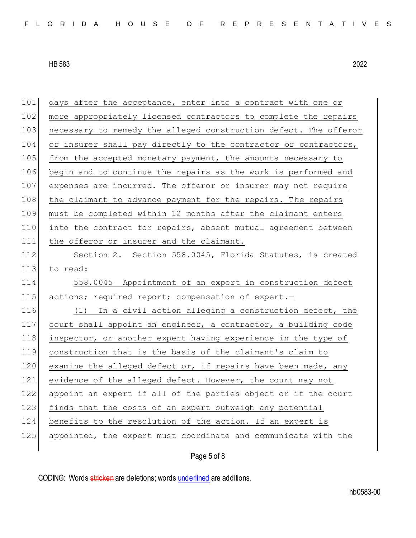101 days after the acceptance, enter into a contract with one or 102 more appropriately licensed contractors to complete the repairs 103 necessary to remedy the alleged construction defect. The offeror 104 or insurer shall pay directly to the contractor or contractors, 105 from the accepted monetary payment, the amounts necessary to 106 begin and to continue the repairs as the work is performed and 107 expenses are incurred. The offeror or insurer may not require 108 the claimant to advance payment for the repairs. The repairs 109 must be completed within 12 months after the claimant enters 110 into the contract for repairs, absent mutual agreement between 111 the offeror or insurer and the claimant. 112 Section 2. Section 558.0045, Florida Statutes, is created 113 to read: 114 558.0045 Appointment of an expert in construction defect 115 actions; required report; compensation of expert. 116 (1) In a civil action alleging a construction defect, the 117 court shall appoint an engineer, a contractor, a building code 118 inspector, or another expert having experience in the type of 119 construction that is the basis of the claimant's claim to 120 examine the alleged defect or, if repairs have been made, any 121 evidence of the alleged defect. However, the court may not 122 appoint an expert if all of the parties object or if the court 123 finds that the costs of an expert outweigh any potential 124 benefits to the resolution of the action. If an expert is 125 appointed, the expert must coordinate and communicate with the

Page 5 of 8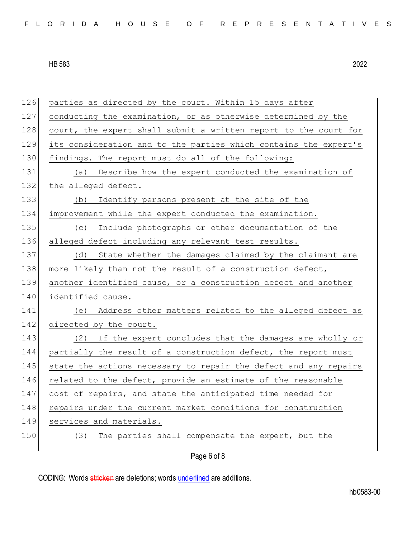| FLORIDA HOUSE OF REPRESENTATIVES |  |  |  |  |  |  |  |  |  |  |
|----------------------------------|--|--|--|--|--|--|--|--|--|--|
|----------------------------------|--|--|--|--|--|--|--|--|--|--|

| 126 | parties as directed by the court. Within 15 days after           |
|-----|------------------------------------------------------------------|
| 127 | conducting the examination, or as otherwise determined by the    |
| 128 | court, the expert shall submit a written report to the court for |
| 129 | its consideration and to the parties which contains the expert's |
| 130 | findings. The report must do all of the following:               |
| 131 | Describe how the expert conducted the examination of<br>(a)      |
| 132 | the alleged defect.                                              |
| 133 | Identify persons present at the site of the<br>(b)               |
| 134 | improvement while the expert conducted the examination.          |
| 135 | Include photographs or other documentation of the<br>(C)         |
| 136 | alleged defect including any relevant test results.              |
| 137 | State whether the damages claimed by the claimant are<br>(d)     |
| 138 | more likely than not the result of a construction defect,        |
| 139 | another identified cause, or a construction defect and another   |
| 140 | identified cause.                                                |
| 141 | Address other matters related to the alleged defect as<br>(e)    |
| 142 | directed by the court.                                           |
| 143 | (2) If the expert concludes that the damages are wholly or       |
| 144 | partially the result of a construction defect, the report must   |
| 145 | state the actions necessary to repair the defect and any repairs |
| 146 | related to the defect, provide an estimate of the reasonable     |
| 147 | cost of repairs, and state the anticipated time needed for       |
| 148 | repairs under the current market conditions for construction     |
| 149 | services and materials.                                          |
| 150 | The parties shall compensate the expert, but the<br>(3)          |
|     | Page 6 of 8                                                      |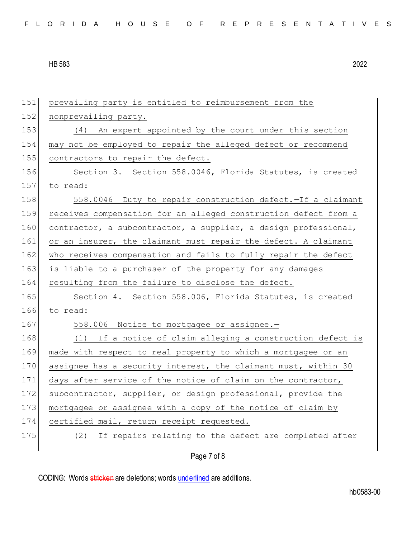Page 7 of 8 151 prevailing party is entitled to reimbursement from the 152 nonprevailing party. 153 (4) An expert appointed by the court under this section 154 may not be employed to repair the alleged defect or recommend 155 contractors to repair the defect. 156 Section 3. Section 558.0046, Florida Statutes, is created 157 to read: 158 558.0046 Duty to repair construction defect. - If a claimant 159 receives compensation for an alleged construction defect from a 160 contractor, a subcontractor, a supplier, a design professional, 161 or an insurer, the claimant must repair the defect. A claimant 162 who receives compensation and fails to fully repair the defect 163 is liable to a purchaser of the property for any damages 164 resulting from the failure to disclose the defect. 165 Section 4. Section 558.006, Florida Statutes, is created 166 to read: 167 558.006 Notice to mortgagee or assignee. 168 (1) If a notice of claim alleging a construction defect is 169 made with respect to real property to which a mortgagee or an 170 assignee has a security interest, the claimant must, within 30 171 days after service of the notice of claim on the contractor, 172 subcontractor, supplier, or design professional, provide the 173 mortgagee or assignee with a copy of the notice of claim by 174 certified mail, return receipt requested. 175 (2) If repairs relating to the defect are completed after